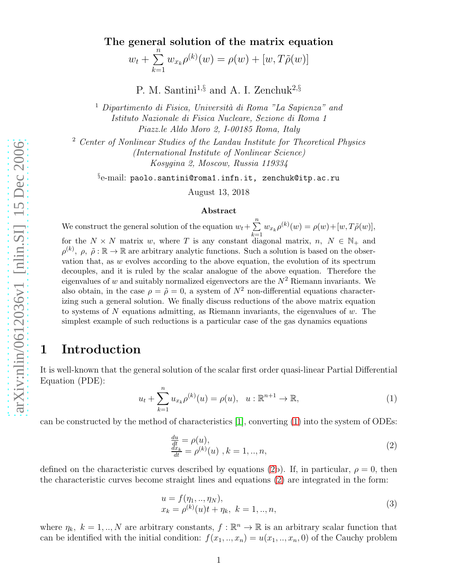### The general solution of the matrix equation  $w_t + \sum$ n  $k=1$  $w_{x_k} \rho^{(k)}(w) = \rho(w) + [w, T\tilde{\rho}(w)]$

P. M. Santini<sup>1,§</sup> and A. I. Zenchuk<sup>2,§</sup>

<sup>1</sup> Dipartimento di Fisica, Università di Roma "La Sapienza" and Istituto Nazionale di Fisica Nucleare, Sezione di Roma 1 Piazz.le Aldo Moro 2, I-00185 Roma, Italy

 $2$  Center of Nonlinear Studies of the Landau Institute for Theoretical Physics (International Institute of Nonlinear Science) Kosygina 2, Moscow, Russia 119334

 $\S_{\mathbf{\textup{e}-\textup{mail}}}$ : paolo.santini@roma1.infn.it, zenchuk@itp.ac.ru

August 13, 2018

#### Abstract

We construct the general solution of the equation  $w_t + \sum_{i=1}^{n}$  $\sum_{k=1} w_{x_k} \rho^{(k)}(w) = \rho(w) + [w, T\tilde{\rho}(w)],$ for the  $N \times N$  matrix w, where T is any constant diagonal matrix,  $n, N \in \mathbb{N}_+$  and  $\rho^{(k)}$ ,  $\rho$ ,  $\tilde{\rho} : \mathbb{R} \to \mathbb{R}$  are arbitrary analytic functions. Such a solution is based on the observation that, as  $w$  evolves according to the above equation, the evolution of its spectrum decouples, and it is ruled by the scalar analogue of the above equation. Therefore the eigenvalues of w and suitably normalized eigenvectors are the  $N^2$  Riemann invariants. We also obtain, in the case  $\rho = \tilde{\rho} = 0$ , a system of  $N^2$  non-differential equations characterizing such a general solution. We finally discuss reductions of the above matrix equation to systems of N equations admitting, as Riemann invariants, the eigenvalues of w. The simplest example of such reductions is a particular case of the gas dynamics equations

## 1 Introduction

It is well-known that the general solution of the scalar first order quasi-linear Partial Differential Equation (PDE):

<span id="page-0-0"></span>
$$
u_t + \sum_{k=1}^n u_{x_k} \rho^{(k)}(u) = \rho(u), \quad u : \mathbb{R}^{n+1} \to \mathbb{R},
$$
 (1)

can be constructed by the method of characteristics [\[1\]](#page-5-0), converting [\(1\)](#page-0-0) into the system of ODEs:

<span id="page-0-1"></span>
$$
\frac{\frac{du}{dt}}{\frac{dx_k}{dt}} = \rho(u), \n\frac{dx_k}{dt} = \rho^{(k)}(u), k = 1, ..., n,
$$
\n(2)

defined on the characteristic curves described by equations [\(2b](#page-0-1)). If, in particular,  $\rho = 0$ , then the characteristic curves become straight lines and equations [\(2\)](#page-0-1) are integrated in the form:

<span id="page-0-2"></span>
$$
u = f(\eta_1, ..., \eta_N),
$$
  
\n
$$
x_k = \rho^{(k)}(u)t + \eta_k, \ k = 1, ..., n,
$$
\n(3)

where  $\eta_k$ ,  $k = 1, ..., N$  are arbitrary constants,  $f : \mathbb{R}^n \to \mathbb{R}$  is an arbitrary scalar function that can be identified with the initial condition:  $f(x_1, ..., x_n) = u(x_1, ..., x_n, 0)$  of the Cauchy problem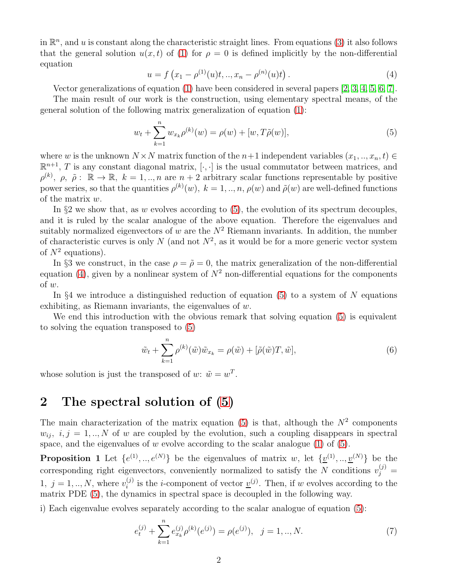in  $\mathbb{R}^n$ , and u is constant along the characteristic straight lines. From equations [\(3\)](#page-0-2) it also follows that the general solution  $u(x, t)$  of [\(1\)](#page-0-0) for  $\rho = 0$  is defined implicitly by the non-differential equation

<span id="page-1-1"></span>
$$
u = f(x_1 - \rho^{(1)}(u)t, ..., x_n - \rho^{(n)}(u)t).
$$
\n(4)

Vector generalizations of equation [\(1\)](#page-0-0) have been considered in several papers [\[2,](#page-5-1) [3,](#page-5-2) [4,](#page-5-3) [5,](#page-5-4) [6,](#page-5-5) [7\]](#page-5-6).

The main result of our work is the construction, using elementary spectral means, of the general solution of the following matrix generalization of equation [\(1\)](#page-0-0):

<span id="page-1-0"></span>
$$
w_t + \sum_{k=1}^{n} w_{x_k} \rho^{(k)}(w) = \rho(w) + [w, T\tilde{\rho}(w)],
$$
\n(5)

where w is the unknown  $N \times N$  matrix function of the  $n+1$  independent variables  $(x_1, ..., x_n, t) \in$  $\mathbb{R}^{n+1}$ , T is any constant diagonal matrix,  $[\cdot, \cdot]$  is the usual commutator between matrices, and  $\rho^{(k)}$ ,  $\rho$ ,  $\tilde{\rho}$ :  $\mathbb{R} \to \mathbb{R}$ ,  $k = 1, ..., n$  are  $n + 2$  arbitrary scalar functions representable by positive power series, so that the quantities  $\rho^{(k)}(w)$ ,  $k = 1, ..., n$ ,  $\rho(w)$  and  $\tilde{\rho}(w)$  are well-defined functions of the matrix w.

In  $\S2$  we show that, as w evolves according to [\(5\)](#page-1-0), the evolution of its spectrum decouples, and it is ruled by the scalar analogue of the above equation. Therefore the eigenvalues and suitably normalized eigenvectors of w are the  $N^2$  Riemann invariants. In addition, the number of characteristic curves is only N (and not  $N^2$ , as it would be for a more generic vector system of  $N^2$  equations).

In §3 we construct, in the case  $\rho = \tilde{\rho} = 0$ , the matrix generalization of the non-differential equation [\(4\)](#page-1-1), given by a nonlinear system of  $N^2$  non-differential equations for the components of w.

In  $\S 4$  we introduce a distinguished reduction of equation [\(5\)](#page-1-0) to a system of N equations exhibiting, as Riemann invariants, the eigenvalues of  $w$ .

We end this introduction with the obvious remark that solving equation  $(5)$  is equivalent to solving the equation transposed to [\(5\)](#page-1-0)

$$
\tilde{w}_t + \sum_{k=1}^n \rho^{(k)}(\tilde{w}) \tilde{w}_{x_k} = \rho(\tilde{w}) + [\tilde{\rho}(\tilde{w})T, \tilde{w}], \tag{6}
$$

whose solution is just the transposed of  $w: \tilde{w} = w^T$ .

# 2 The spectral solution of [\(5\)](#page-1-0)

The main characterization of the matrix equation [\(5\)](#page-1-0) is that, although the  $N^2$  components  $w_{ij}, i, j = 1, ..., N$  of w are coupled by the evolution, such a coupling disappears in spectral space, and the eigenvalues of w evolve according to the scalar analogue  $(1)$  of  $(5)$ .

**Proposition 1** Let  $\{e^{(1)},...,e^{(N)}\}$  be the eigenvalues of matrix w, let  $\{\underline{v}^{(1)},...,\underline{v}^{(N)}\}$  be the corresponding right eigenvectors, conveniently normalized to satisfy the N conditions  $v_j^{(j)} =$ 1,  $j = 1, ..., N$ , where  $v_i^{(j)}$  $i_j^{(j)}$  is the *i*-component of vector  $\underline{v}^{(j)}$ . Then, if w evolves according to the matrix PDE [\(5\)](#page-1-0), the dynamics in spectral space is decoupled in the following way.

i) Each eigenvalue evolves separately according to the scalar analogue of equation [\(5\)](#page-1-0):

<span id="page-1-2"></span>
$$
e_t^{(j)} + \sum_{k=1}^n e_{x_k}^{(j)} \rho^{(k)}(e^{(j)}) = \rho(e^{(j)}), \ \ j = 1, ..., N.
$$
 (7)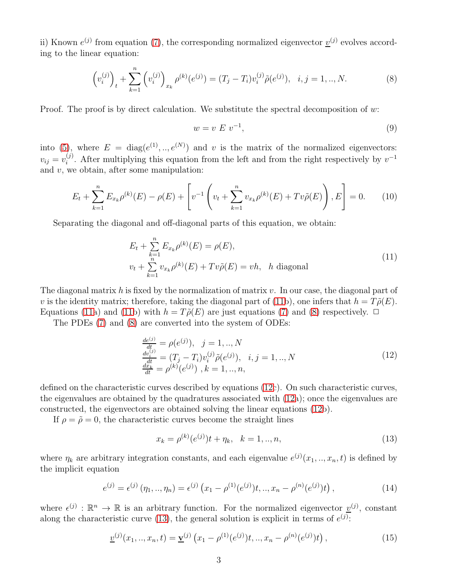ii) Known  $e^{(j)}$  from equation [\(7\)](#page-1-2), the corresponding normalized eigenvector  $v^{(j)}$  evolves according to the linear equation:

<span id="page-2-1"></span>
$$
\left(v_i^{(j)}\right)_t + \sum_{k=1}^n \left(v_i^{(j)}\right)_{x_k} \rho^{(k)}(e^{(j)}) = (T_j - T_i)v_i^{(j)}\tilde{\rho}(e^{(j)}), \quad i, j = 1, ..., N. \tag{8}
$$

Proof. The proof is by direct calculation. We substitute the spectral decomposition of w:

<span id="page-2-4"></span>
$$
w = v \ E \ v^{-1}, \tag{9}
$$

into [\(5\)](#page-1-0), where  $E = diag(e^{(1)}, ..., e^{(N)})$  and v is the matrix of the normalized eigenvectors:  $v_{ij} = v_i^{(j)}$  $i^{(j)}$ . After multiplying this equation from the left and from the right respectively by  $v^{-1}$ and  $v$ , we obtain, after some manipulation:

$$
E_t + \sum_{k=1}^n E_{x_k} \rho^{(k)}(E) - \rho(E) + \left[ v^{-1} \left( v_t + \sum_{k=1}^n v_{x_k} \rho^{(k)}(E) + Tv\tilde{\rho}(E) \right), E \right] = 0. \tag{10}
$$

Separating the diagonal and off-diagonal parts of this equation, we obtain:

<span id="page-2-0"></span>
$$
E_t + \sum_{k=1}^n E_{x_k} \rho^{(k)}(E) = \rho(E),
$$
  

$$
v_t + \sum_{k=1}^n v_{x_k} \rho^{(k)}(E) + Tv\tilde{\rho}(E) = vh, \quad h \text{ diagonal}
$$
 (11)

The diagonal matrix h is fixed by the normalization of matrix  $v$ . In our case, the diagonal part of v is the identity matrix; therefore, taking the diagonal part of [\(11b](#page-2-0)), one infers that  $h = T\tilde{\rho}(E)$ . Equations [\(11a](#page-2-0)) and [\(11b](#page-2-0)) with  $h = T\tilde{\rho}(E)$  are just equations [\(7\)](#page-1-2) and [\(8\)](#page-2-1) respectively.  $\Box$ 

The PDEs [\(7\)](#page-1-2) and [\(8\)](#page-2-1) are converted into the system of ODEs:

<span id="page-2-2"></span>
$$
\frac{\frac{de^{(j)}}{dt}}{\frac{dv^{(j)}}{dt}} = \rho(e^{(j)}), \quad j = 1,.., N
$$
\n
$$
\frac{\frac{dv^{(j)}}{dt}}{\frac{dx}{dt}} = (T_j - T_i)v^{(j)}_i \tilde{\rho}(e^{(j)}), \quad i, j = 1,.., N
$$
\n
$$
\frac{dx_k}{dt} = \rho^{(k)}(e^{(j)}) \quad k = 1,.., n,
$$
\n(12)

defined on the characteristic curves described by equations [\(12c](#page-2-2)). On such characteristic curves, the eigenvalues are obtained by the quadratures associated with [\(12a](#page-2-2)); once the eigenvalues are constructed, the eigenvectors are obtained solving the linear equations [\(12b](#page-2-2)).

If  $\rho = \tilde{\rho} = 0$ , the characteristic curves become the straight lines

<span id="page-2-3"></span>
$$
x_k = \rho^{(k)}(e^{(j)})t + \eta_k, \quad k = 1, ..., n,
$$
\n(13)

where  $\eta_k$  are arbitrary integration constants, and each eigenvalue  $e^{(j)}(x_1, \dots, x_n, t)$  is defined by the implicit equation

<span id="page-2-5"></span>
$$
e^{(j)} = \epsilon^{(j)}(\eta_1, \dots, \eta_n) = \epsilon^{(j)}(x_1 - \rho^{(1)}(e^{(j)})t, \dots, x_n - \rho^{(n)}(e^{(j)})t), \qquad (14)
$$

where  $\epsilon^{(j)} : \mathbb{R}^n \to \mathbb{R}$  is an arbitrary function. For the normalized eigenvector  $v^{(j)}$ , constant along the characteristic curve [\(13\)](#page-2-3), the general solution is explicit in terms of  $e^{(j)}$ :

<span id="page-2-6"></span>
$$
\underline{v}^{(j)}(x_1,..,x_n,t) = \underline{\mathbf{v}}^{(j)}(x_1 - \rho^{(1)}(e^{(j)})t,..,x_n - \rho^{(n)}(e^{(j)})t), \qquad (15)
$$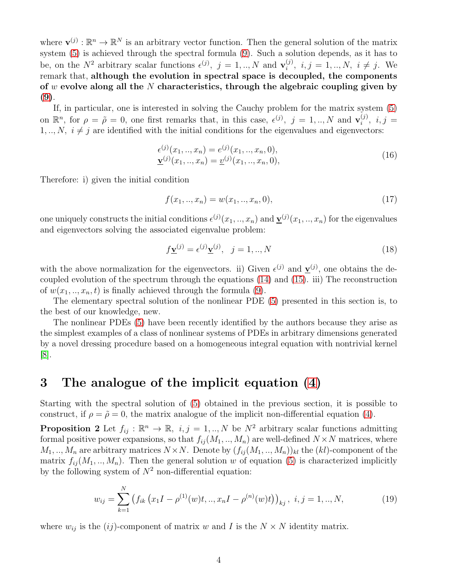where  $\mathbf{v}^{(j)} : \mathbb{R}^n \to \mathbb{R}^N$  is an arbitrary vector function. Then the general solution of the matrix system [\(5\)](#page-1-0) is achieved through the spectral formula [\(9\)](#page-2-4). Such a solution depends, as it has to be, on the  $N^2$  arbitrary scalar functions  $\epsilon^{(j)}$ ,  $j = 1,..,N$  and  $\mathbf{v}_i^{(j)}$  $i^{(j)}$ ,  $i, j = 1, ..., N$ ,  $i \neq j$ . We remark that, although the evolution in spectral space is decoupled, the components of w evolve along all the N characteristics, through the algebraic coupling given by  $(9).$  $(9).$ 

If, in particular, one is interested in solving the Cauchy problem for the matrix system [\(5\)](#page-1-0) on  $\mathbb{R}^n$ , for  $\rho = \tilde{\rho} = 0$ , one first remarks that, in this case,  $\epsilon^{(j)}$ ,  $j = 1, ..., N$  and  $\mathbf{v}_i^{(j)}$  $i^{(j)}$ ,  $i, j =$ 1, .., N,  $i \neq j$  are identified with the initial conditions for the eigenvalues and eigenvectors:

$$
\epsilon^{(j)}(x_1,..,x_n) = e^{(j)}(x_1,..,x_n,0),
$$
  

$$
\underline{\mathbf{v}}^{(j)}(x_1,..,x_n) = \underline{v}^{(j)}(x_1,..,x_n,0),
$$
\n(16)

Therefore: i) given the initial condition

$$
f(x_1, ..., x_n) = w(x_1, ..., x_n, 0),
$$
\n(17)

one uniquely constructs the initial conditions  $\epsilon^{(j)}(x_1,..,x_n)$  and  $\underline{\mathbf{v}}^{(j)}(x_1,..,x_n)$  for the eigenvalues and eigenvectors solving the associated eigenvalue problem:

$$
f\underline{\mathbf{v}}^{(j)} = \epsilon^{(j)} \underline{\mathbf{v}}^{(j)}, \quad j = 1, \dots, N
$$
\n(18)

with the above normalization for the eigenvectors. ii) Given  $\epsilon^{(j)}$  and  $\underline{\mathbf{v}}^{(j)}$ , one obtains the decoupled evolution of the spectrum through the equations [\(14\)](#page-2-5) and [\(15\)](#page-2-6). iii) The reconstruction of  $w(x_1, \ldots, x_n, t)$  is finally achieved through the formula [\(9\)](#page-2-4).

The elementary spectral solution of the nonlinear PDE [\(5\)](#page-1-0) presented in this section is, to the best of our knowledge, new.

The nonlinear PDEs [\(5\)](#page-1-0) have been recently identified by the authors because they arise as the simplest examples of a class of nonlinear systems of PDEs in arbitrary dimensions generated by a novel dressing procedure based on a homogeneous integral equation with nontrivial kernel [\[8\]](#page-5-7).

## 3 The analogue of the implicit equation [\(4\)](#page-1-1)

Starting with the spectral solution of [\(5\)](#page-1-0) obtained in the previous section, it is possible to construct, if  $\rho = \tilde{\rho} = 0$ , the matrix analogue of the implicit non-differential equation [\(4\)](#page-1-1).

**Proposition 2** Let  $f_{ij}: \mathbb{R}^n \to \mathbb{R}$ ,  $i, j = 1, ..., N$  be  $N^2$  arbitrary scalar functions admitting formal positive power expansions, so that  $f_{ij}(M_1, ..., M_n)$  are well-defined  $N \times N$  matrices, where  $M_1, ..., M_n$  are arbitrary matrices  $N \times N$ . Denote by  $(f_{ij}(M_1, ..., M_n))_{kl}$  the  $(kl)$ -component of the matrix  $f_{ij}(M_1, ..., M_n)$ . Then the general solution w of equation [\(5\)](#page-1-0) is characterized implicitly by the following system of  $N^2$  non-differential equation:

<span id="page-3-0"></span>
$$
w_{ij} = \sum_{k=1}^{N} \left( f_{ik} \left( x_1 I - \rho^{(1)}(w)t, \dots, x_n I - \rho^{(n)}(w)t \right) \right)_{kj}, \ i, j = 1, \dots, N,
$$
\n(19)

where  $w_{ij}$  is the  $(ij)$ -component of matrix w and I is the  $N \times N$  identity matrix.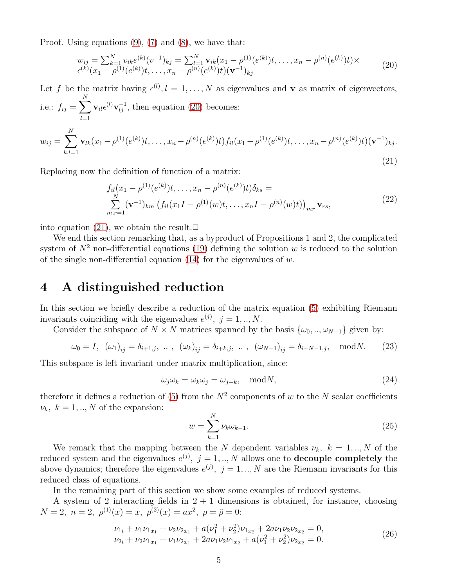Proof. Using equations  $(9)$ ,  $(7)$  and  $(8)$ , we have that:

<span id="page-4-0"></span>
$$
w_{ij} = \sum_{k=1}^{N} v_{ik} e^{(k)} (v^{-1})_{kj} = \sum_{l=1}^{N} \mathbf{v}_{ik} (x_1 - \rho^{(1)}(e^{(k)}) t, \dots, x_n - \rho^{(n)}(e^{(k)}) t) \times
$$
  
\n
$$
\epsilon^{(k)} (x_1 - \rho^{(1)}(e^{(k)}) t, \dots, x_n - \rho^{(n)}(e^{(k)}) t) (\mathbf{v}^{-1})_{kj}
$$
\n(20)

Let f be the matrix having  $\epsilon^{(l)}$ ,  $l = 1, \ldots, N$  as eigenvalues and **v** as matrix of eigenvectors, i.e.:  $f_{ij} = \sum$ N  $_{l=1}$  $\mathbf{v}_{il} \epsilon^{(l)} \mathbf{v}_{lj}^{-1}$ , then equation [\(20\)](#page-4-0) becomes: N

<span id="page-4-1"></span>
$$
w_{ij} = \sum_{k,l=1}^{N} \mathbf{v}_{lk}(x_1 - \rho^{(1)}(e^{(k)})t, \dots, x_n - \rho^{(n)}(e^{(k)})t) f_{il}(x_1 - \rho^{(1)}(e^{(k)})t, \dots, x_n - \rho^{(n)}(e^{(k)})t) (\mathbf{v}^{-1})_{kj}.
$$
\n(21)

Replacing now the definition of function of a matrix:

$$
f_{il}(x_1 - \rho^{(1)}(e^{(k)})t, \dots, x_n - \rho^{(n)}(e^{(k)})t)\delta_{ks} = \sum_{m,r=1}^{N} (\mathbf{v}^{-1})_{km} \left( f_{il}(x_1I - \rho^{(1)}(w)t, \dots, x_nI - \rho^{(n)}(w)t) \right)_{mr} \mathbf{v}_{rs},
$$
\n(22)

into equation [\(21\)](#page-4-1), we obtain the result. $\Box$ 

We end this section remarking that, as a byproduct of Propositions 1 and 2, the complicated system of  $N^2$  non-differential equations [\(19\)](#page-3-0) defining the solution w is reduced to the solution of the single non-differential equation  $(14)$  for the eigenvalues of w.

### 4 A distinguished reduction

In this section we briefly describe a reduction of the matrix equation [\(5\)](#page-1-0) exhibiting Riemann invariants coinciding with the eigenvalues  $e^{(j)}$ ,  $j = 1, ..., N$ .

Consider the subspace of  $N \times N$  matrices spanned by the basis  $\{\omega_0, \ldots, \omega_{N-1}\}\$  given by:

$$
\omega_0 = I
$$
,  $(\omega_1)_{ij} = \delta_{i+1,j}$ , ...,  $(\omega_k)_{ij} = \delta_{i+k,j}$ , ...,  $(\omega_{N-1})_{ij} = \delta_{i+N-1,j}$ , modN. (23)

This subspace is left invariant under matrix multiplication, since:

$$
\omega_j \omega_k = \omega_k \omega_j = \omega_{j+k}, \quad \text{mod} N,
$$
\n<sup>(24)</sup>

therefore it defines a reduction of [\(5\)](#page-1-0) from the  $N^2$  components of w to the N scalar coefficients  $\nu_k, k = 1, ..., N$  of the expansion:

$$
w = \sum_{k=1}^{N} \nu_k \omega_{k-1}.
$$
 (25)

We remark that the mapping between the N dependent variables  $\nu_k$ ,  $k = 1, ..., N$  of the reduced system and the eigenvalues  $e^{(j)}$ ,  $j = 1, ..., N$  allows one to **decouple completely** the above dynamics; therefore the eigenvalues  $e^{(j)}$ ,  $j = 1, ..., N$  are the Riemann invariants for this reduced class of equations.

In the remaining part of this section we show some examples of reduced systems.

A system of 2 interacting fields in  $2 + 1$  dimensions is obtained, for instance, choosing  $N=2, n=2, \rho^{(1)}(x)=x, \rho^{(2)}(x)=ax^2, \rho=\tilde{\rho}=0.$ 

<span id="page-4-2"></span>
$$
\nu_{1t} + \nu_1 \nu_{1x_1} + \nu_2 \nu_{2x_1} + a(\nu_1^2 + \nu_2^2)\nu_{1x_2} + 2a\nu_1 \nu_2 \nu_{2x_2} = 0,\n\nu_{2t} + \nu_2 \nu_{1x_1} + \nu_1 \nu_{2x_1} + 2a\nu_1 \nu_2 \nu_{1x_2} + a(\nu_1^2 + \nu_2^2)\nu_{2x_2} = 0.
$$
\n(26)